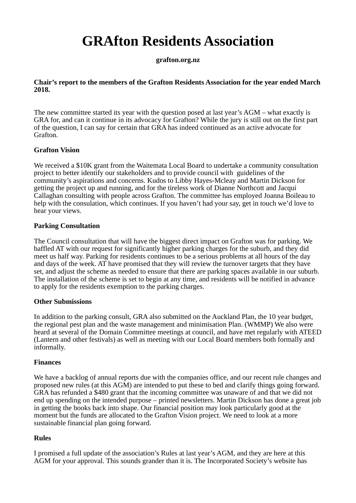# **GRAfton Residents Association**

## **grafton.org.nz**

### **Chair's report to the members of the Grafton Residents Association for the year ended March 2018.**

The new committee started its year with the question posed at last year's AGM – what exactly is GRA for, and can it continue in its advocacy for Grafton? While the jury is still out on the first part of the question, I can say for certain that GRA has indeed continued as an active advocate for Grafton.

## **Grafton Vision**

We received a \$10K grant from the Waitemata Local Board to undertake a community consultation project to better identify our stakeholders and to provide council with guidelines of the community's aspirations and concerns. Kudos to Libby Hayes-Mcleay and Martin Dickson for getting the project up and running, and for the tireless work of Dianne Northcott and Jacqui Callaghan consulting with people across Grafton. The committee has employed Joanna Boileau to help with the consulation, which continues. If you haven't had your say, get in touch we'd love to hear your views.

## **Parking Consultation**

The Council consultation that will have the biggest direct impact on Grafton was for parking. We baffled AT with our request for significantly higher parking charges for the suburb, and they did meet us half way. Parking for residents continues to be a serious problems at all hours of the day and days of the week. AT have promised that they will review the turnover targets that they have set, and adjust the scheme as needed to ensure that there are parking spaces available in our suburb. The installation of the scheme is set to begin at any time, and residents will be notified in advance to apply for the residents exemption to the parking charges.

### **Other Submissions**

In addition to the parking consult, GRA also submitted on the Auckland Plan, the 10 year budget, the regional pest plan and the waste management and minimisation Plan. (WMMP) We also were heard at several of the Domain Committee meetings at council, and have met regularly with ATEED (Lantern and other festivals) as well as meeting with our Local Board members both formally and informally.

### **Finances**

We have a backlog of annual reports due with the companies office, and our recent rule changes and proposed new rules (at this AGM) are intended to put these to bed and clarify things going forward. GRA has refunded a \$480 grant that the incoming committee was unaware of and that we did not end up spending on the intended purpose – printed newsletters. Martin Dickson has done a great job in getting the books back into shape. Our financial position may look particularly good at the moment but the funds are allocated to the Grafton Vision project. We need to look at a more sustainable financial plan going forward.

### **Rules**

I promised a full update of the association's Rules at last year's AGM, and they are here at this AGM for your approval. This sounds grander than it is. The Incorporated Society's website has